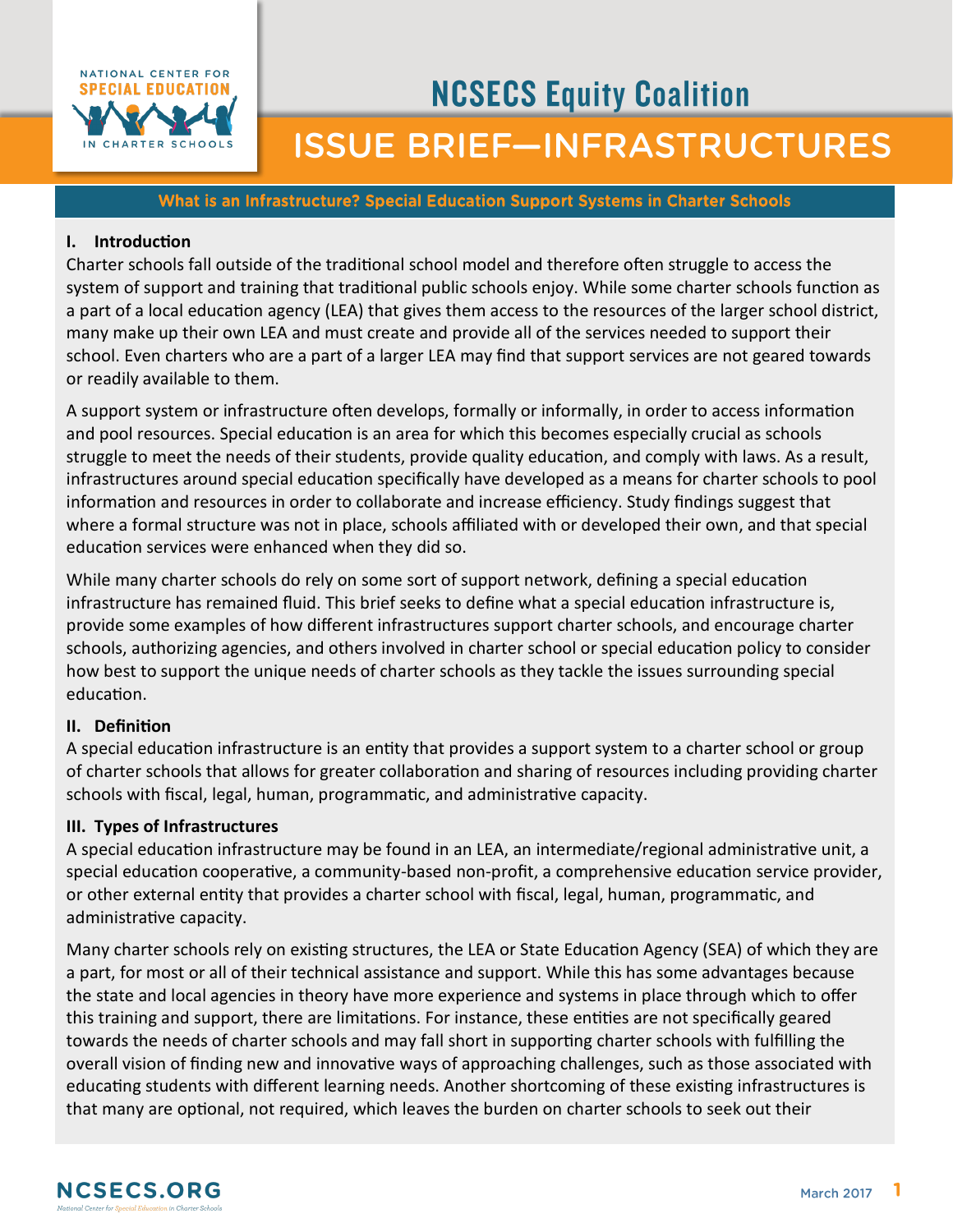

# **NCSECS Equity Coalition ISSUE BRIEF-INFRASTRUCTURES**

#### What is an Infrastructure? Special Education Support Systems in Charter Schools

### **I. Introduction**

Charter schools fall outside of the traditional school model and therefore often struggle to access the system of support and training that traditional public schools enjoy. While some charter schools function as a part of a local education agency (LEA) that gives them access to the resources of the larger school district, many make up their own LEA and must create and provide all of the services needed to support their school. Even charters who are a part of a larger LEA may find that support services are not geared towards or readily available to them.

A support system or infrastructure often develops, formally or informally, in order to access information and pool resources. Special education is an area for which this becomes especially crucial as schools struggle to meet the needs of their students, provide quality education, and comply with laws. As a result, infrastructures around special education specifically have developed as a means for charter schools to pool information and resources in order to collaborate and increase efficiency. Study findings suggest that where a formal structure was not in place, schools affiliated with or developed their own, and that special education services were enhanced when they did so.

While many charter schools do rely on some sort of support network, defining a special education infrastructure has remained fluid. This brief seeks to define what a special education infrastructure is, provide some examples of how different infrastructures support charter schools, and encourage charter schools, authorizing agencies, and others involved in charter school or special education policy to consider how best to support the unique needs of charter schools as they tackle the issues surrounding special education.

#### **II. Definition**

A special education infrastructure is an entity that provides a support system to a charter school or group of charter schools that allows for greater collaboration and sharing of resources including providing charter schools with fiscal, legal, human, programmatic, and administrative capacity.

#### **III. Types of Infrastructures**

A special education infrastructure may be found in an LEA, an intermediate/regional administrative unit, a special education cooperative, a community-based non-profit, a comprehensive education service provider, or other external entity that provides a charter school with fiscal, legal, human, programmatic, and administrative capacity.

Many charter schools rely on existing structures, the LEA or State Education Agency (SEA) of which they are a part, for most or all of their technical assistance and support. While this has some advantages because the state and local agencies in theory have more experience and systems in place through which to offer this training and support, there are limitations. For instance, these entities are not specifically geared towards the needs of charter schools and may fall short in supporting charter schools with fulfilling the overall vision of finding new and innovative ways of approaching challenges, such as those associated with educating students with different learning needs. Another shortcoming of these existing infrastructures is that many are optional, not required, which leaves the burden on charter schools to seek out their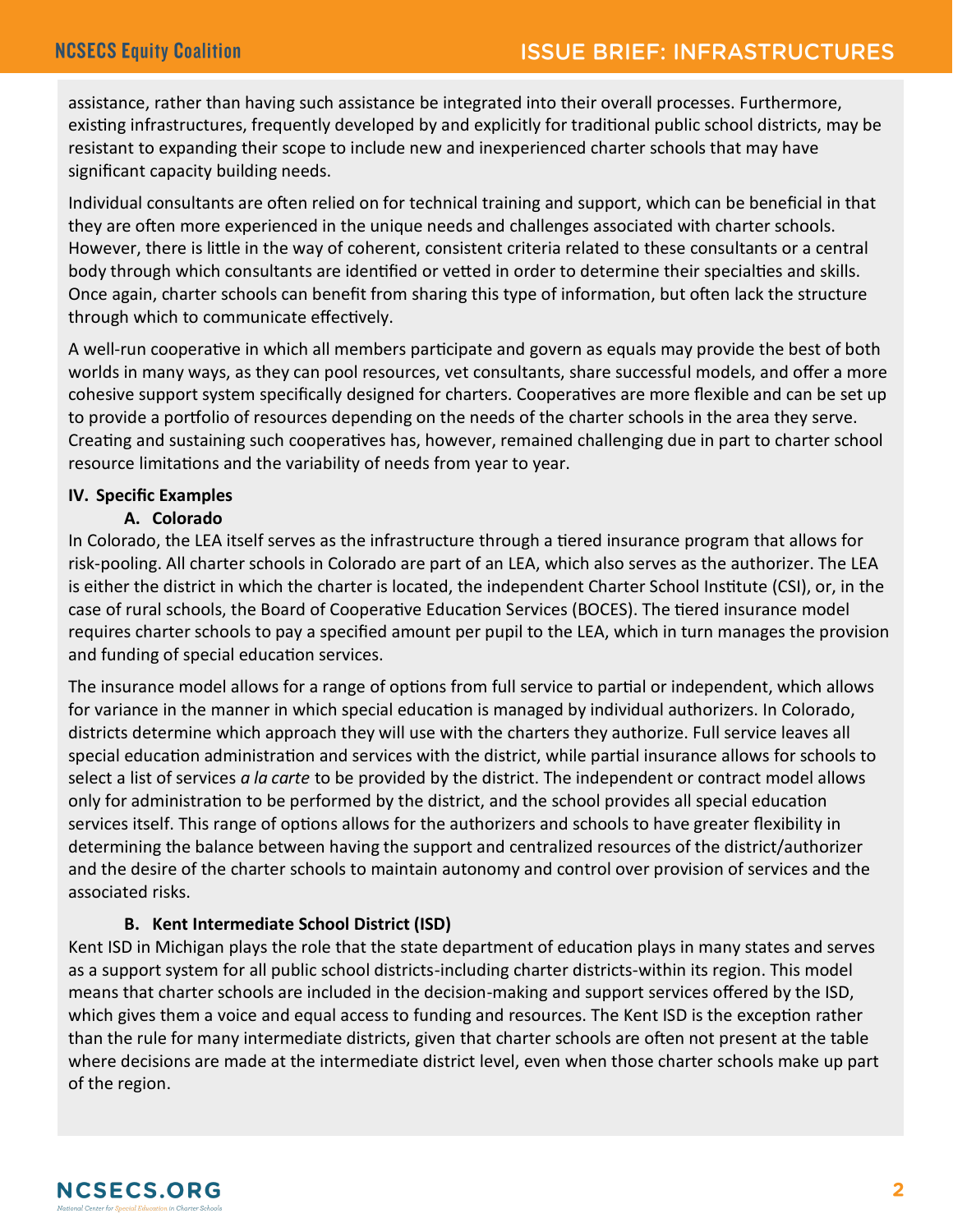assistance, rather than having such assistance be integrated into their overall processes. Furthermore, existing infrastructures, frequently developed by and explicitly for traditional public school districts, may be resistant to expanding their scope to include new and inexperienced charter schools that may have significant capacity building needs.

Individual consultants are often relied on for technical training and support, which can be beneficial in that they are often more experienced in the unique needs and challenges associated with charter schools. However, there is little in the way of coherent, consistent criteria related to these consultants or a central body through which consultants are identified or vetted in order to determine their specialties and skills. Once again, charter schools can benefit from sharing this type of information, but often lack the structure through which to communicate effectively.

A well-run cooperative in which all members participate and govern as equals may provide the best of both worlds in many ways, as they can pool resources, vet consultants, share successful models, and offer a more cohesive support system specifically designed for charters. Cooperatives are more flexible and can be set up to provide a portfolio of resources depending on the needs of the charter schools in the area they serve. Creating and sustaining such cooperatives has, however, remained challenging due in part to charter school resource limitations and the variability of needs from year to year.

# **IV. Specific Examples**

## **A. Colorado**

In Colorado, the LEA itself serves as the infrastructure through a tiered insurance program that allows for risk-pooling. All charter schools in Colorado are part of an LEA, which also serves as the authorizer. The LEA is either the district in which the charter is located, the independent Charter School Institute (CSI), or, in the case of rural schools, the Board of Cooperative Education Services (BOCES). The tiered insurance model requires charter schools to pay a specified amount per pupil to the LEA, which in turn manages the provision and funding of special education services.

The insurance model allows for a range of options from full service to partial or independent, which allows for variance in the manner in which special education is managed by individual authorizers. In Colorado, districts determine which approach they will use with the charters they authorize. Full service leaves all special education administration and services with the district, while partial insurance allows for schools to select a list of services *a la carte* to be provided by the district. The independent or contract model allows only for administration to be performed by the district, and the school provides all special education services itself. This range of options allows for the authorizers and schools to have greater flexibility in determining the balance between having the support and centralized resources of the district/authorizer and the desire of the charter schools to maintain autonomy and control over provision of services and the associated risks.

# **B. Kent Intermediate School District (ISD)**

Kent ISD in Michigan plays the role that the state department of education plays in many states and serves as a support system for all public school districts-including charter districts-within its region. This model means that charter schools are included in the decision-making and support services offered by the ISD, which gives them a voice and equal access to funding and resources. The Kent ISD is the exception rather than the rule for many intermediate districts, given that charter schools are often not present at the table where decisions are made at the intermediate district level, even when those charter schools make up part of the region.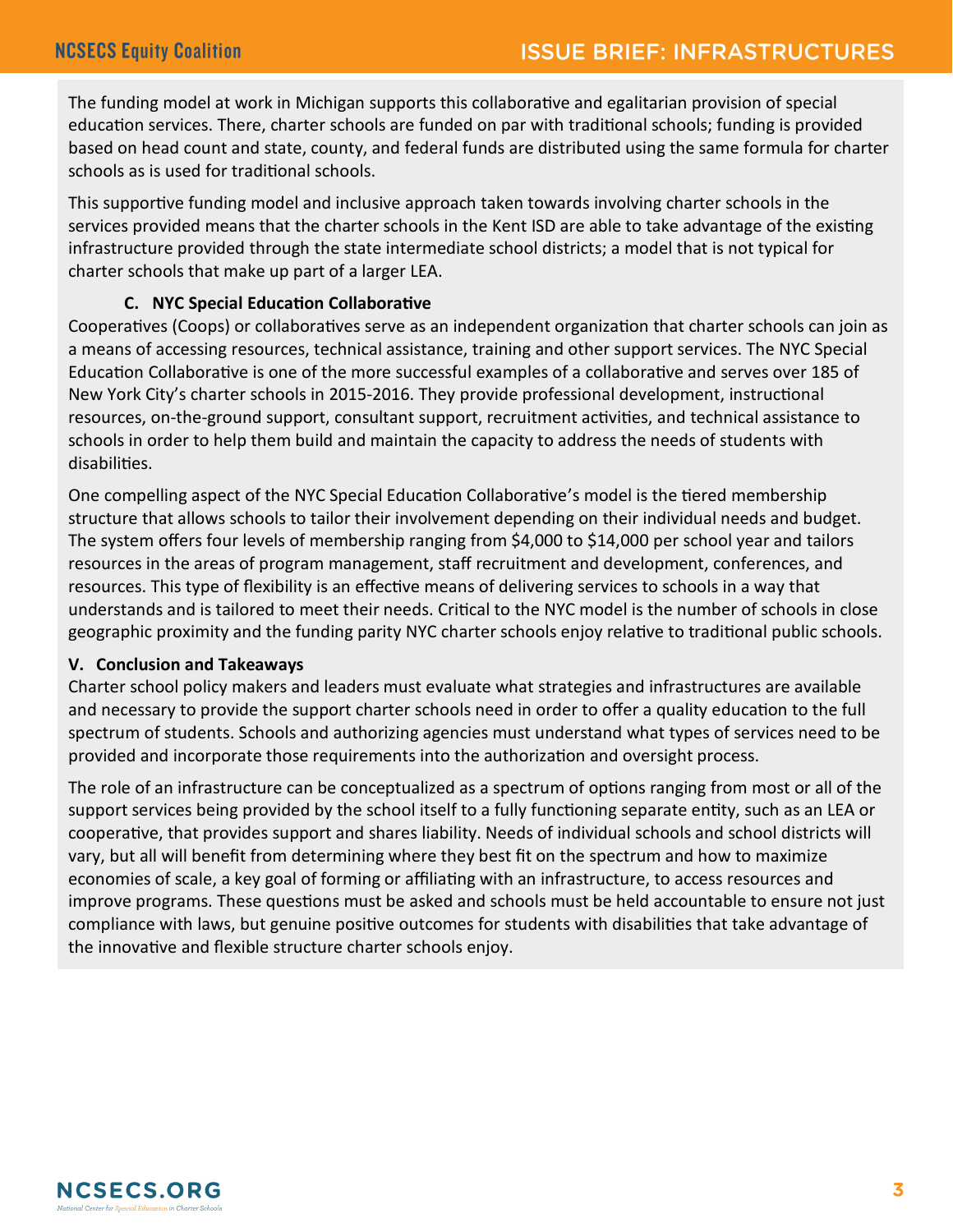The funding model at work in Michigan supports this collaborative and egalitarian provision of special education services. There, charter schools are funded on par with traditional schools; funding is provided based on head count and state, county, and federal funds are distributed using the same formula for charter schools as is used for traditional schools.

This supportive funding model and inclusive approach taken towards involving charter schools in the services provided means that the charter schools in the Kent ISD are able to take advantage of the existing infrastructure provided through the state intermediate school districts; a model that is not typical for charter schools that make up part of a larger LEA.

## **C. NYC Special Education Collaborative**

Cooperatives (Coops) or collaboratives serve as an independent organization that charter schools can join as a means of accessing resources, technical assistance, training and other support services. The NYC Special Education Collaborative is one of the more successful examples of a collaborative and serves over 185 of New York City's charter schools in 2015-2016. They provide professional development, instructional resources, on-the-ground support, consultant support, recruitment activities, and technical assistance to schools in order to help them build and maintain the capacity to address the needs of students with disabilities.

One compelling aspect of the NYC Special Education Collaborative's model is the tiered membership structure that allows schools to tailor their involvement depending on their individual needs and budget. The system offers four levels of membership ranging from \$4,000 to \$14,000 per school year and tailors resources in the areas of program management, staff recruitment and development, conferences, and resources. This type of flexibility is an effective means of delivering services to schools in a way that understands and is tailored to meet their needs. Critical to the NYC model is the number of schools in close geographic proximity and the funding parity NYC charter schools enjoy relative to traditional public schools.

## **V. Conclusion and Takeaways**

Charter school policy makers and leaders must evaluate what strategies and infrastructures are available and necessary to provide the support charter schools need in order to offer a quality education to the full spectrum of students. Schools and authorizing agencies must understand what types of services need to be provided and incorporate those requirements into the authorization and oversight process.

The role of an infrastructure can be conceptualized as a spectrum of options ranging from most or all of the support services being provided by the school itself to a fully functioning separate entity, such as an LEA or cooperative, that provides support and shares liability. Needs of individual schools and school districts will vary, but all will benefit from determining where they best fit on the spectrum and how to maximize economies of scale, a key goal of forming or affiliating with an infrastructure, to access resources and improve programs. These questions must be asked and schools must be held accountable to ensure not just compliance with laws, but genuine positive outcomes for students with disabilities that take advantage of the innovative and flexible structure charter schools enjoy.